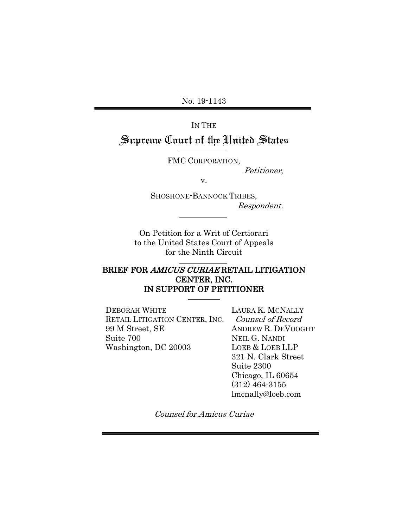No. 19-1143

IN THE Supreme Court of the United States

FMC CORPORATION,

Petitioner,

v.

SHOSHONE-BANNOCK TRIBES, Respondent.

On Petition for a Writ of Certiorari to the United States Court of Appeals for the Ninth Circuit

#### BRIEF FOR AMICUS CURIAE RETAIL LITIGATION CENTER, INC. IN SUPPORT OF PETITIONER

 $\frac{1}{2}$ 

DEBORAH WHITE RETAIL LITIGATION CENTER, INC. 99 M Street, SE Suite 700 Washington, DC 20003

LAURA K. MCNALLY Counsel of Record ANDREW R. DEVOOGHT NEIL G. NANDI LOEB & LOEB LLP 321 N. Clark Street Suite 2300 Chicago, IL 60654 (312) 464-3155 lmcnally@loeb.com

Counsel for Amicus Curiae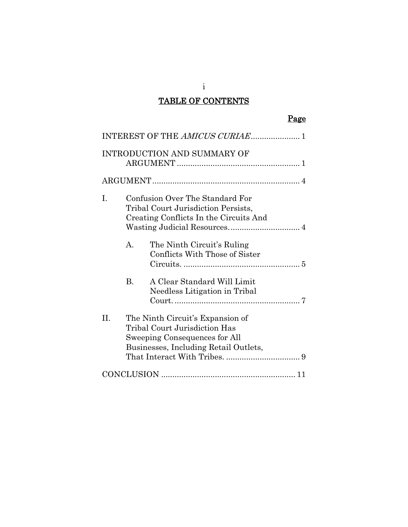## TABLE OF CONTENTS

|     |                                                                                                                                                         |                                                                                                                                             | Page |
|-----|---------------------------------------------------------------------------------------------------------------------------------------------------------|---------------------------------------------------------------------------------------------------------------------------------------------|------|
|     |                                                                                                                                                         | INTEREST OF THE AMICUS CURIAE 1                                                                                                             |      |
|     |                                                                                                                                                         | <b>INTRODUCTION AND SUMMARY OF</b>                                                                                                          |      |
|     |                                                                                                                                                         |                                                                                                                                             |      |
| I.  | Confusion Over The Standard For<br><b>Tribal Court Jurisdiction Persists,</b><br>Creating Conflicts In the Circuits And<br>Wasting Judicial Resources 4 |                                                                                                                                             |      |
|     | A.                                                                                                                                                      | The Ninth Circuit's Ruling<br>Conflicts With Those of Sister                                                                                |      |
|     | $\rm B$ .                                                                                                                                               | A Clear Standard Will Limit<br>Needless Litigation in Tribal                                                                                |      |
| II. |                                                                                                                                                         | The Ninth Circuit's Expansion of<br>Tribal Court Jurisdiction Has<br>Sweeping Consequences for All<br>Businesses, Including Retail Outlets, |      |
|     |                                                                                                                                                         |                                                                                                                                             |      |

i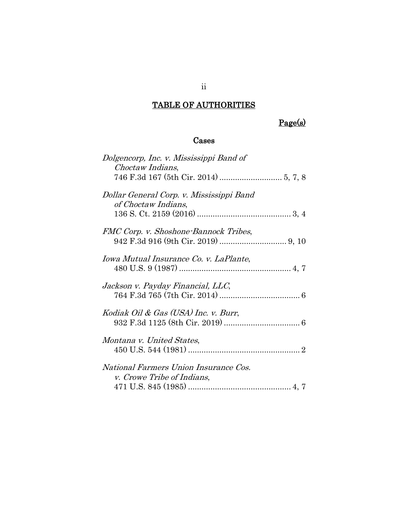## TABLE OF AUTHORITIES

## Page(s)

### Cases

| Dolgencorp, Inc. v. Mississippi Band of<br>Choctaw Indians,     |  |
|-----------------------------------------------------------------|--|
|                                                                 |  |
| Dollar General Corp. v. Mississippi Band<br>of Choctaw Indians, |  |
|                                                                 |  |
| FMC Corp. v. Shoshone-Bannock Tribes,                           |  |
| Iowa Mutual Insurance Co. v. LaPlante,                          |  |
| Jackson v. Payday Financial, LLC,                               |  |
| Kodiak Oil & Gas (USA) Inc. v. Burr,                            |  |
| Montana v. United States,                                       |  |
| National Farmers Union Insurance Cos.                           |  |
| v. Crowe Tribe of Indians,                                      |  |
|                                                                 |  |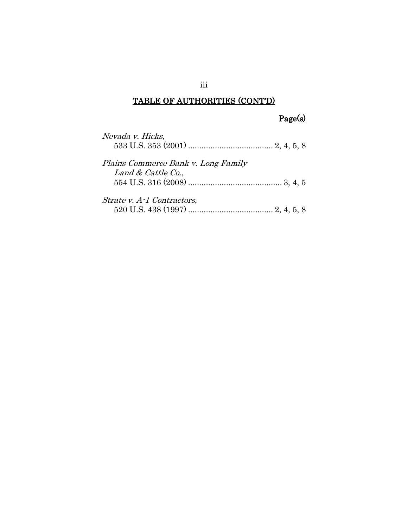### TABLE OF AUTHORITIES (CONT'D)

# Page(s)

| Nevada v. Hicks,                    |  |
|-------------------------------------|--|
|                                     |  |
| Plains Commerce Bank v. Long Family |  |
| Land $&$ Cattle Co.,                |  |
|                                     |  |
| Strate v. A-1 Contractors,          |  |
|                                     |  |

### iii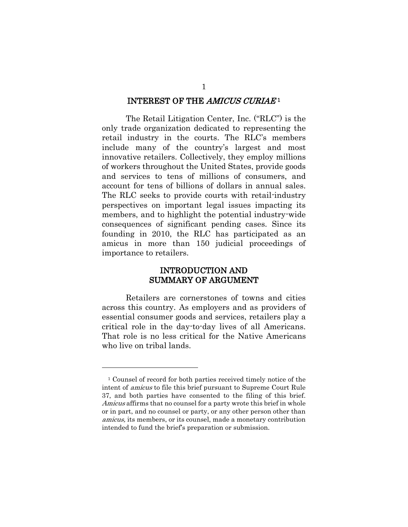#### INTEREST OF THE  $AMICUS$   $CURLA E$ <sup>1</sup>

The Retail Litigation Center, Inc. ("RLC") is the only trade organization dedicated to representing the retail industry in the courts. The RLC's members include many of the country's largest and most innovative retailers. Collectively, they employ millions of workers throughout the United States, provide goods and services to tens of millions of consumers, and account for tens of billions of dollars in annual sales. The RLC seeks to provide courts with retail-industry perspectives on important legal issues impacting its members, and to highlight the potential industry-wide consequences of significant pending cases. Since its founding in 2010, the RLC has participated as an amicus in more than 150 judicial proceedings of importance to retailers.

#### INTRODUCTION AND SUMMARY OF ARGUMENT

Retailers are cornerstones of towns and cities across this country. As employers and as providers of essential consumer goods and services, retailers play a critical role in the day-to-day lives of all Americans. That role is no less critical for the Native Americans who live on tribal lands.

 $\overline{a}$ 

<sup>1</sup> Counsel of record for both parties received timely notice of the intent of amicus to file this brief pursuant to Supreme Court Rule 37, and both parties have consented to the filing of this brief. Amicus affirms that no counsel for a party wrote this brief in whole or in part, and no counsel or party, or any other person other than amicus, its members, or its counsel, made a monetary contribution intended to fund the brief's preparation or submission.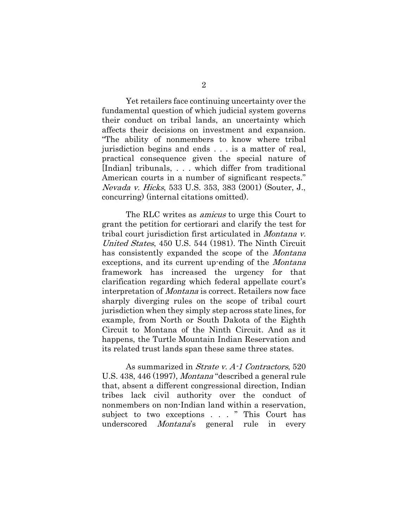Yet retailers face continuing uncertainty over the fundamental question of which judicial system governs their conduct on tribal lands, an uncertainty which affects their decisions on investment and expansion. "The ability of nonmembers to know where tribal jurisdiction begins and ends . . . is a matter of real, practical consequence given the special nature of [Indian] tribunals, . . . which differ from traditional American courts in a number of significant respects." Nevada v. Hicks, 533 U.S. 353, 383 (2001) (Souter, J., concurring) (internal citations omitted).

The RLC writes as *amicus* to urge this Court to grant the petition for certiorari and clarify the test for tribal court jurisdiction first articulated in Montana v. United States, 450 U.S. 544 (1981). The Ninth Circuit has consistently expanded the scope of the *Montana* exceptions, and its current up-ending of the Montana framework has increased the urgency for that clarification regarding which federal appellate court's interpretation of Montana is correct. Retailers now face sharply diverging rules on the scope of tribal court jurisdiction when they simply step across state lines, for example, from North or South Dakota of the Eighth Circuit to Montana of the Ninth Circuit. And as it happens, the Turtle Mountain Indian Reservation and its related trust lands span these same three states.

<span id="page-5-0"></span>As summarized in *Strate v. A-1 Contractors*, 520 U.S. 438, 446 (1997), Montana "described a general rule that, absent a different congressional direction, Indian tribes lack civil authority over the conduct of nonmembers on non-Indian land within a reservation, subject to two exceptions . . . " This Court has underscored *Montana*'s general rule in every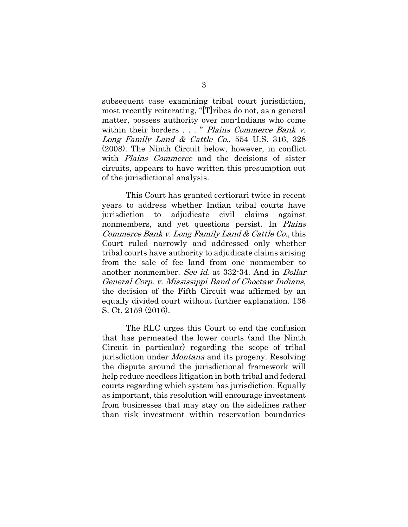<span id="page-6-1"></span>subsequent case examining tribal court jurisdiction, most recently reiterating, "[T]ribes do not, as a general matter, possess authority over non-Indians who come within their borders . . . " Plains Commerce Bank v. Long Family Land  $& Cattle$  Co., 554 U.S. 316, 328 (2008). The Ninth Circuit below, however, in conflict with *Plains Commerce* and the decisions of sister circuits, appears to have written this presumption out of the jurisdictional analysis.

This Court has granted certiorari twice in recent years to address whether Indian tribal courts have jurisdiction to adjudicate civil claims against nonmembers, and yet questions persist. In *Plains* Commerce Bank v. Long Family Land & Cattle Co., this Court ruled narrowly and addressed only whether tribal courts have authority to adjudicate claims arising from the sale of fee land from one nonmember to another nonmember. See id. at 332-34. And in Dollar General Corp. v. Mississippi Band of Choctaw Indians, the decision of the Fifth Circuit was affirmed by an equally divided court without further explanation. 136 S. Ct. 2159 (2016).

<span id="page-6-0"></span>The RLC urges this Court to end the confusion that has permeated the lower courts (and the Ninth Circuit in particular) regarding the scope of tribal jurisdiction under Montana and its progeny. Resolving the dispute around the jurisdictional framework will help reduce needless litigation in both tribal and federal courts regarding which system has jurisdiction. Equally as important, this resolution will encourage investment from businesses that may stay on the sidelines rather than risk investment within reservation boundaries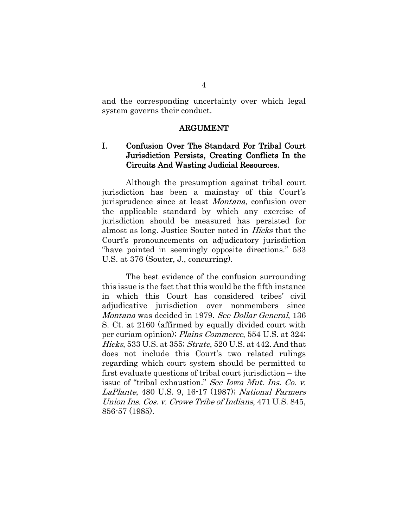and the corresponding uncertainty over which legal system governs their conduct.

#### ARGUMENT

#### I. Confusion Over The Standard For Tribal Court Jurisdiction Persists, Creating Conflicts In the Circuits And Wasting Judicial Resources.

Although the presumption against tribal court jurisdiction has been a mainstay of this Court's jurisprudence since at least Montana, confusion over the applicable standard by which any exercise of jurisdiction should be measured has persisted for almost as long. Justice Souter noted in Hicks that the Court's pronouncements on adjudicatory jurisdiction "have pointed in seemingly opposite directions." 533 U.S. at 376 (Souter, J., concurring).

<span id="page-7-3"></span><span id="page-7-2"></span><span id="page-7-1"></span><span id="page-7-0"></span>The best evidence of the confusion surrounding this issue is the fact that this would be the fifth instance in which this Court has considered tribes' civil adjudicative jurisdiction over nonmembers since Montana was decided in 1979. See Dollar General, 136 S. Ct. at 2160 (affirmed by equally divided court with per curiam opinion); Plains Commerce, 554 U.S. at 324; Hicks, 533 U.S. at 355; Strate, 520 U.S. at 442. And that does not include this Court's two related rulings regarding which court system should be permitted to first evaluate questions of tribal court jurisdiction – the issue of "tribal exhaustion." See Iowa Mut. Ins. Co. v. LaPlante, 480 U.S. 9, 16-17 (1987); National Farmers Union Ins. Cos. v. Crowe Tribe of Indians, 471 U.S. 845, 856-57 (1985).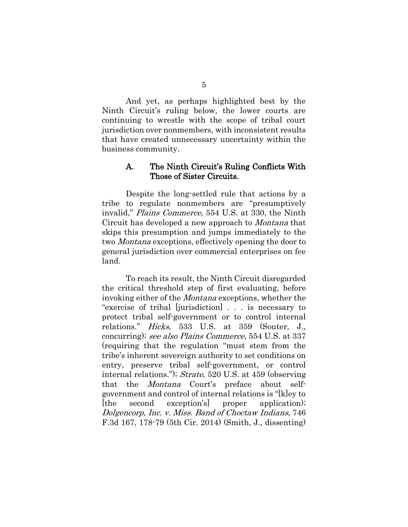And yet, as perhaps highlighted best by the Ninth Circuit's ruling below, the lower courts are continuing to wrestle with the scope of tribal court jurisdiction over nonmembers, with inconsistent results that have created unnecessary uncertainty within the business community.

#### A. The Ninth Circuit's Ruling Conflicts With Those of Sister Circuits.

<span id="page-8-0"></span>Despite the long-settled rule that actions by a tribe to regulate nonmembers are "presumptively invalid," *Plains Commerce*, 554 U.S. at 330, the Ninth Circuit has developed a new approach to Montana that skips this presumption and jumps immediately to the two Montana exceptions, effectively opening the door to general jurisdiction over commercial enterprises on fee land.

To reach its result, the Ninth Circuit disregarded the critical threshold step of first evaluating, before invoking either of the Montana exceptions, whether the "exercise of tribal [jurisdiction] . . . is necessary to protect tribal self-government or to control internal relations." *Hicks*, 533 U.S. at 359 (Souter, J., concurring); see also Plains Commerce, 554 U.S. at 337 (requiring that the regulation "must stem from the tribe's inherent sovereign authority to set conditions on entry, preserve tribal self-government, or control internal relations."); Strate, 520 U.S. at 459 (observing that the Montana Court's preface about selfgovernment and control of internal relations is "[k]ey to [the second exception's] proper application); Dolgencorp, Inc. v. Miss. Band of Choctaw Indians, 746 F.3d 167, 178-79 (5th Cir. 2014) (Smith, J., dissenting)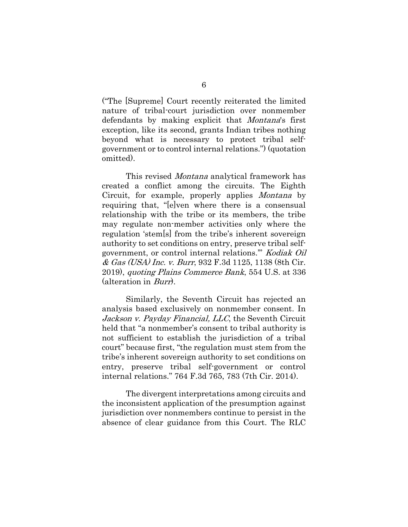("The [Supreme] Court recently reiterated the limited nature of tribal-court jurisdiction over nonmember defendants by making explicit that Montana's first exception, like its second, grants Indian tribes nothing beyond what is necessary to protect tribal selfgovernment or to control internal relations.") (quotation omitted).

This revised Montana analytical framework has created a conflict among the circuits. The Eighth Circuit, for example, properly applies Montana by requiring that, "[e]ven where there is a consensual relationship with the tribe or its members, the tribe may regulate non-member activities only where the regulation 'stem[s] from the tribe's inherent sovereign authority to set conditions on entry, preserve tribal selfgovernment, or control internal relations.'" Kodiak Oil & Gas (USA) Inc. v. Burr, 932 F.3d 1125, 1138 (8th Cir. 2019), quoting Plains Commerce Bank, 554 U.S. at 336 (alteration in Burr).

<span id="page-9-1"></span><span id="page-9-0"></span>Similarly, the Seventh Circuit has rejected an analysis based exclusively on nonmember consent. In Jackson v. Payday Financial, LLC, the Seventh Circuit held that "a nonmember's consent to tribal authority is not sufficient to establish the jurisdiction of a tribal court" because first, "the regulation must stem from the tribe's inherent sovereign authority to set conditions on entry, preserve tribal self-government or control internal relations." 764 F.3d 765, 783 (7th Cir. 2014).

The divergent interpretations among circuits and the inconsistent application of the presumption against jurisdiction over nonmembers continue to persist in the absence of clear guidance from this Court. The RLC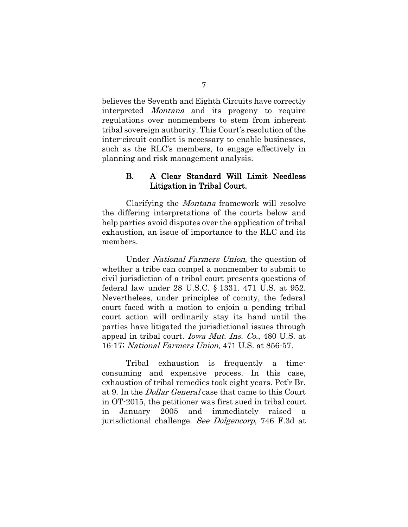believes the Seventh and Eighth Circuits have correctly interpreted Montana and its progeny to require regulations over nonmembers to stem from inherent tribal sovereign authority. This Court's resolution of the inter-circuit conflict is necessary to enable businesses, such as the RLC's members, to engage effectively in planning and risk management analysis.

#### B. A Clear Standard Will Limit Needless Litigation in Tribal Court.

Clarifying the Montana framework will resolve the differing interpretations of the courts below and help parties avoid disputes over the application of tribal exhaustion, an issue of importance to the RLC and its members.

Under National Farmers Union, the question of whether a tribe can compel a nonmember to submit to civil jurisdiction of a tribal court presents questions of federal law under 28 U.S.C. § 1331. 471 U.S. at 952. Nevertheless, under principles of comity, the federal court faced with a motion to enjoin a pending tribal court action will ordinarily stay its hand until the parties have litigated the jurisdictional issues through appeal in tribal court. Iowa Mut. Ins. Co., 480 U.S. at 16-17; National Farmers Union, 471 U.S. at 856-57.

<span id="page-10-1"></span><span id="page-10-0"></span>Tribal exhaustion is frequently a timeconsuming and expensive process. In this case, exhaustion of tribal remedies took eight years. Pet'r Br. at 9. In the Dollar General case that came to this Court in OT-2015, the petitioner was first sued in tribal court in January 2005 and immediately raised a jurisdictional challenge. See Dolgencorp, 746 F.3d at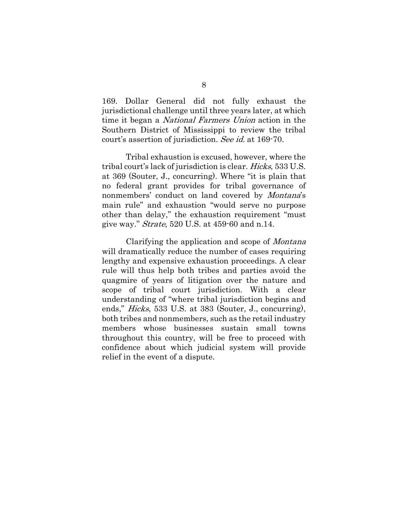169. Dollar General did not fully exhaust the jurisdictional challenge until three years later, at which time it began a National Farmers Union action in the Southern District of Mississippi to review the tribal court's assertion of jurisdiction. See id. at 169-70.

Tribal exhaustion is excused, however, where the tribal court's lack of jurisdiction is clear. Hicks, 533 U.S. at 369 (Souter, J., concurring). Where "it is plain that no federal grant provides for tribal governance of nonmembers' conduct on land covered by Montana's main rule" and exhaustion "would serve no purpose other than delay," the exhaustion requirement "must give way." Strate, 520 U.S. at 459-60 and n.14.

<span id="page-11-0"></span>Clarifying the application and scope of Montana will dramatically reduce the number of cases requiring lengthy and expensive exhaustion proceedings. A clear rule will thus help both tribes and parties avoid the quagmire of years of litigation over the nature and scope of tribal court jurisdiction. With a clear understanding of "where tribal jurisdiction begins and ends," Hicks, 533 U.S. at 383 (Souter, J., concurring), both tribes and nonmembers, such as the retail industry members whose businesses sustain small towns throughout this country, will be free to proceed with confidence about which judicial system will provide relief in the event of a dispute.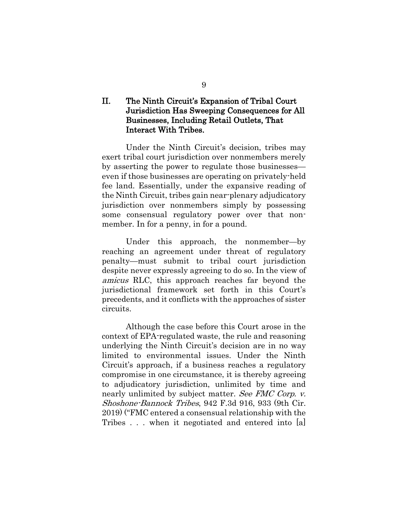#### II. The Ninth Circuit's Expansion of Tribal Court Jurisdiction Has Sweeping Consequences for All Businesses, Including Retail Outlets, That Interact With Tribes.

Under the Ninth Circuit's decision, tribes may exert tribal court jurisdiction over nonmembers merely by asserting the power to regulate those businesses even if those businesses are operating on privately-held fee land. Essentially, under the expansive reading of the Ninth Circuit, tribes gain near-plenary adjudicatory jurisdiction over nonmembers simply by possessing some consensual regulatory power over that nonmember. In for a penny, in for a pound.

Under this approach, the nonmember—by reaching an agreement under threat of regulatory penalty—must submit to tribal court jurisdiction despite never expressly agreeing to do so. In the view of amicus RLC, this approach reaches far beyond the jurisdictional framework set forth in this Court's precedents, and it conflicts with the approaches of sister circuits.

Although the case before this Court arose in the context of EPA-regulated waste, the rule and reasoning underlying the Ninth Circuit's decision are in no way limited to environmental issues. Under the Ninth Circuit's approach, if a business reaches a regulatory compromise in one circumstance, it is thereby agreeing to adjudicatory jurisdiction, unlimited by time and nearly unlimited by subject matter. See FMC Corp. v. Shoshone-Bannock Tribes, 942 F.3d 916, 933 (9th Cir. 2019) ("FMC entered a consensual relationship with the Tribes . . . when it negotiated and entered into [a]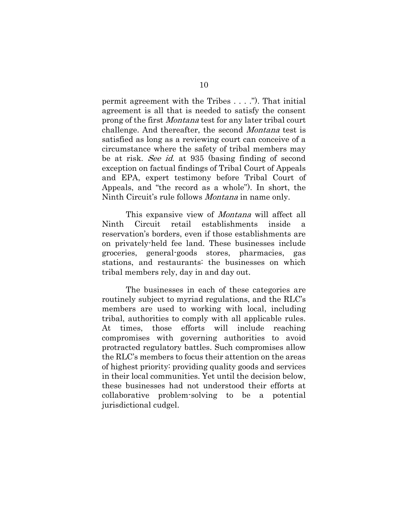<span id="page-13-0"></span>permit agreement with the Tribes . . . ."). That initial agreement is all that is needed to satisfy the consent prong of the first *Montana* test for any later tribal court challenge. And thereafter, the second Montana test is satisfied as long as a reviewing court can conceive of a circumstance where the safety of tribal members may be at risk. See id. at 935 (basing finding of second exception on factual findings of Tribal Court of Appeals and EPA, expert testimony before Tribal Court of Appeals, and "the record as a whole"). In short, the Ninth Circuit's rule follows *Montana* in name only.

This expansive view of Montana will affect all Ninth Circuit retail establishments inside a reservation's borders, even if those establishments are on privately-held fee land. These businesses include groceries, general-goods stores, pharmacies, gas stations, and restaurants: the businesses on which tribal members rely, day in and day out.

The businesses in each of these categories are routinely subject to myriad regulations, and the RLC's members are used to working with local, including tribal, authorities to comply with all applicable rules. At times, those efforts will include reaching compromises with governing authorities to avoid protracted regulatory battles. Such compromises allow the RLC's members to focus their attention on the areas of highest priority: providing quality goods and services in their local communities. Yet until the decision below, these businesses had not understood their efforts at collaborative problem-solving to be a potential jurisdictional cudgel.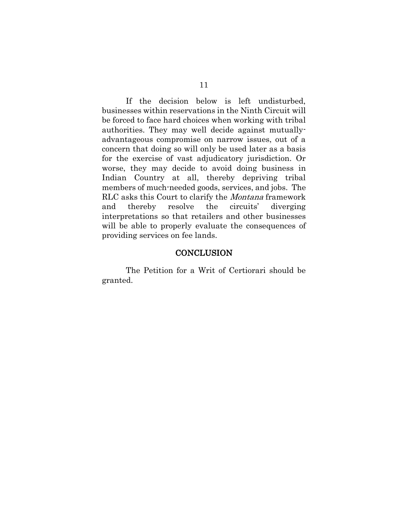If the decision below is left undisturbed, businesses within reservations in the Ninth Circuit will be forced to face hard choices when working with tribal authorities. They may well decide against mutuallyadvantageous compromise on narrow issues, out of a concern that doing so will only be used later as a basis for the exercise of vast adjudicatory jurisdiction. Or worse, they may decide to avoid doing business in Indian Country at all, thereby depriving tribal members of much-needed goods, services, and jobs. The RLC asks this Court to clarify the Montana framework and thereby resolve the circuits' diverging interpretations so that retailers and other businesses will be able to properly evaluate the consequences of providing services on fee lands.

#### **CONCLUSION**

The Petition for a Writ of Certiorari should be granted.